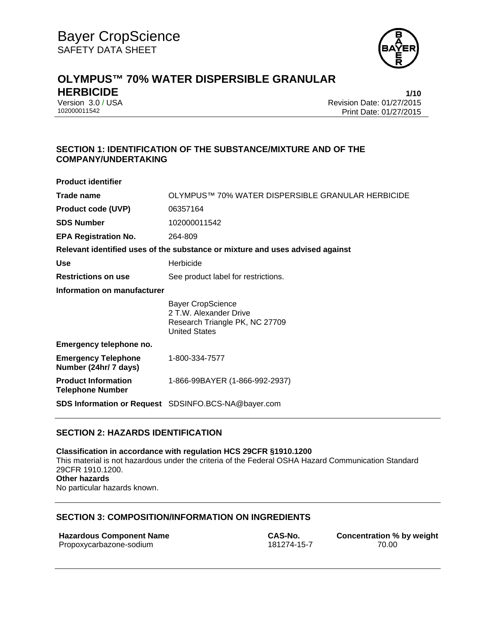

# **OLYMPUS™ 70% WATER DISPERSIBLE GRANULAR HERBICIDE 1/10**

Version 3.0 / USA Revision Date: 01/27/2015 Print Date: 01/27/2015

# **SECTION 1: IDENTIFICATION OF THE SUBSTANCE/MIXTURE AND OF THE COMPANY/UNDERTAKING**

| <b>Product identifier</b>                                                     |                                                                                                       |  |
|-------------------------------------------------------------------------------|-------------------------------------------------------------------------------------------------------|--|
| Trade name                                                                    | OLYMPUS™ 70% WATER DISPERSIBLE GRANULAR HERBICIDE                                                     |  |
| <b>Product code (UVP)</b>                                                     | 06357164                                                                                              |  |
| <b>SDS Number</b>                                                             | 102000011542                                                                                          |  |
| <b>EPA Registration No.</b>                                                   | 264-809                                                                                               |  |
| Relevant identified uses of the substance or mixture and uses advised against |                                                                                                       |  |
| <b>Use</b>                                                                    | Herbicide                                                                                             |  |
| <b>Restrictions on use</b>                                                    | See product label for restrictions.                                                                   |  |
| Information on manufacturer                                                   |                                                                                                       |  |
|                                                                               | Bayer CropScience<br>2 T.W. Alexander Drive<br>Research Triangle PK, NC 27709<br><b>United States</b> |  |
| Emergency telephone no.                                                       |                                                                                                       |  |
| <b>Emergency Telephone</b><br>Number (24hr/ 7 days)                           | 1-800-334-7577                                                                                        |  |
| <b>Product Information</b><br><b>Telephone Number</b>                         | 1-866-99BAYER (1-866-992-2937)                                                                        |  |
|                                                                               | <b>SDS Information or Request</b> SDSINFO.BCS-NA@bayer.com                                            |  |

# **SECTION 2: HAZARDS IDENTIFICATION**

**Classification in accordance with regulation HCS 29CFR §1910.1200**  This material is not hazardous under the criteria of the Federal OSHA Hazard Communication Standard 29CFR 1910.1200. **Other hazards**  No particular hazards known.

## **SECTION 3: COMPOSITION/INFORMATION ON INGREDIENTS**

| <b>Hazardous Component Name</b> | CAS-No.     |
|---------------------------------|-------------|
| Propoxycarbazone-sodium         | 181274-15-7 |

**CAS-No. Concentration % by weight** 181274-15-7 **CONCENTED** 70.00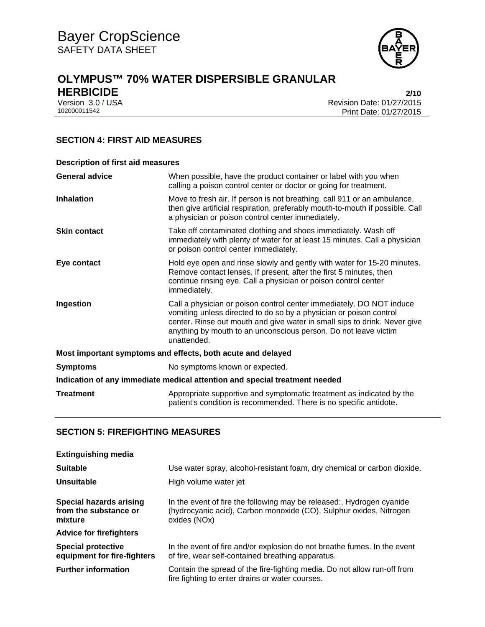

# **OLYMPUS™ 70% WATER DISPERSIBLE GRANULAR HERBICIDE 2/10**

Version 3.0 / USA Revision Date: 01/27/2015<br>102000011542 Print Date: 01/27/2015 Print Date: 01/27/2015

# **SECTION 4: FIRST AID MEASURES**

| <b>Description of first aid measures</b>                                   |                                                                                                                                                                                                                                                                                                           |  |
|----------------------------------------------------------------------------|-----------------------------------------------------------------------------------------------------------------------------------------------------------------------------------------------------------------------------------------------------------------------------------------------------------|--|
| <b>General advice</b>                                                      | When possible, have the product container or label with you when<br>calling a poison control center or doctor or going for treatment.                                                                                                                                                                     |  |
| Inhalation                                                                 | Move to fresh air. If person is not breathing, call 911 or an ambulance,<br>then give artificial respiration, preferably mouth-to-mouth if possible. Call<br>a physician or poison control center immediately.                                                                                            |  |
| <b>Skin contact</b>                                                        | Take off contaminated clothing and shoes immediately. Wash off<br>immediately with plenty of water for at least 15 minutes. Call a physician<br>or poison control center immediately.                                                                                                                     |  |
| Eye contact                                                                | Hold eye open and rinse slowly and gently with water for 15-20 minutes.<br>Remove contact lenses, if present, after the first 5 minutes, then<br>continue rinsing eye. Call a physician or poison control center<br>immediately.                                                                          |  |
| Ingestion                                                                  | Call a physician or poison control center immediately. DO NOT induce<br>vomiting unless directed to do so by a physician or poison control<br>center. Rinse out mouth and give water in small sips to drink. Never give<br>anything by mouth to an unconscious person. Do not leave victim<br>unattended. |  |
| Most important symptoms and effects, both acute and delayed                |                                                                                                                                                                                                                                                                                                           |  |
| <b>Symptoms</b>                                                            | No symptoms known or expected.                                                                                                                                                                                                                                                                            |  |
| Indication of any immediate medical attention and special treatment needed |                                                                                                                                                                                                                                                                                                           |  |
| <b>Treatment</b>                                                           | Appropriate supportive and symptomatic treatment as indicated by the<br>patient's condition is recommended. There is no specific antidote.                                                                                                                                                                |  |

# **SECTION 5: FIREFIGHTING MEASURES**

| <b>Extinguishing media</b>                                  |                                                                                                                                                             |
|-------------------------------------------------------------|-------------------------------------------------------------------------------------------------------------------------------------------------------------|
| <b>Suitable</b>                                             | Use water spray, alcohol-resistant foam, dry chemical or carbon dioxide.                                                                                    |
| Unsuitable                                                  | High volume water jet                                                                                                                                       |
| Special hazards arising<br>from the substance or<br>mixture | In the event of fire the following may be released:, Hydrogen cyanide<br>(hydrocyanic acid), Carbon monoxide (CO), Sulphur oxides, Nitrogen<br>oxides (NOx) |
| <b>Advice for firefighters</b>                              |                                                                                                                                                             |
| <b>Special protective</b><br>equipment for fire-fighters    | In the event of fire and/or explosion do not breathe fumes. In the event<br>of fire, wear self-contained breathing apparatus.                               |
| <b>Further information</b>                                  | Contain the spread of the fire-fighting media. Do not allow run-off from<br>fire fighting to enter drains or water courses.                                 |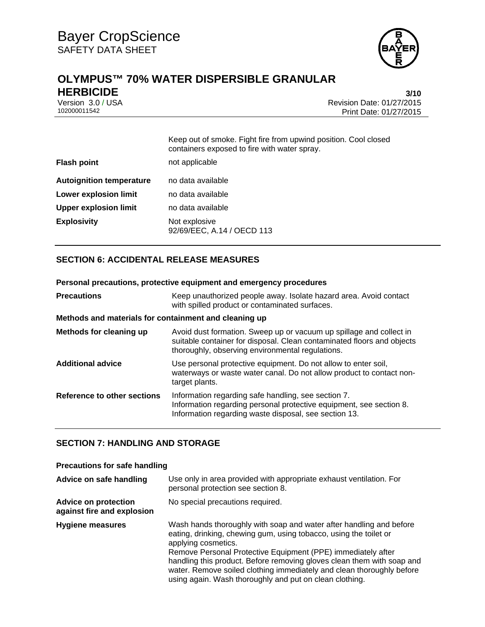

# **OLYMPUS™ 70% WATER DISPERSIBLE GRANULAR HERBICIDE 3/10**

Version 3.0 / USA Revision Date: 01/27/2015<br>102000011542 Print Date: 01/27/2015 Print Date: 01/27/2015

|                                 | Keep out of smoke. Fight fire from upwind position. Cool closed<br>containers exposed to fire with water spray. |
|---------------------------------|-----------------------------------------------------------------------------------------------------------------|
| <b>Flash point</b>              | not applicable                                                                                                  |
| <b>Autoignition temperature</b> | no data available                                                                                               |
| <b>Lower explosion limit</b>    | no data available                                                                                               |
| <b>Upper explosion limit</b>    | no data available                                                                                               |
| <b>Explosivity</b>              | Not explosive<br>92/69/EEC, A.14 / OECD 113                                                                     |

# **SECTION 6: ACCIDENTAL RELEASE MEASURES**

| Personal precautions, protective equipment and emergency procedures |                                                                                                                                                                                                   |  |
|---------------------------------------------------------------------|---------------------------------------------------------------------------------------------------------------------------------------------------------------------------------------------------|--|
| <b>Precautions</b>                                                  | Keep unauthorized people away. Isolate hazard area. Avoid contact<br>with spilled product or contaminated surfaces.                                                                               |  |
| Methods and materials for containment and cleaning up               |                                                                                                                                                                                                   |  |
| Methods for cleaning up                                             | Avoid dust formation. Sweep up or vacuum up spillage and collect in<br>suitable container for disposal. Clean contaminated floors and objects<br>thoroughly, observing environmental regulations. |  |
| <b>Additional advice</b>                                            | Use personal protective equipment. Do not allow to enter soil,<br>waterways or waste water canal. Do not allow product to contact non-<br>target plants.                                          |  |
| Reference to other sections                                         | Information regarding safe handling, see section 7.<br>Information regarding personal protective equipment, see section 8.<br>Information regarding waste disposal, see section 13.               |  |

## **SECTION 7: HANDLING AND STORAGE**

#### **Precautions for safe handling**

| Advice on safe handling                                   | Use only in area provided with appropriate exhaust ventilation. For<br>personal protection see section 8.                                                                                                                                                                                                                                                                                                                                     |
|-----------------------------------------------------------|-----------------------------------------------------------------------------------------------------------------------------------------------------------------------------------------------------------------------------------------------------------------------------------------------------------------------------------------------------------------------------------------------------------------------------------------------|
| <b>Advice on protection</b><br>against fire and explosion | No special precautions required.                                                                                                                                                                                                                                                                                                                                                                                                              |
| <b>Hygiene measures</b>                                   | Wash hands thoroughly with soap and water after handling and before<br>eating, drinking, chewing gum, using tobacco, using the toilet or<br>applying cosmetics.<br>Remove Personal Protective Equipment (PPE) immediately after<br>handling this product. Before removing gloves clean them with soap and<br>water. Remove soiled clothing immediately and clean thoroughly before<br>using again. Wash thoroughly and put on clean clothing. |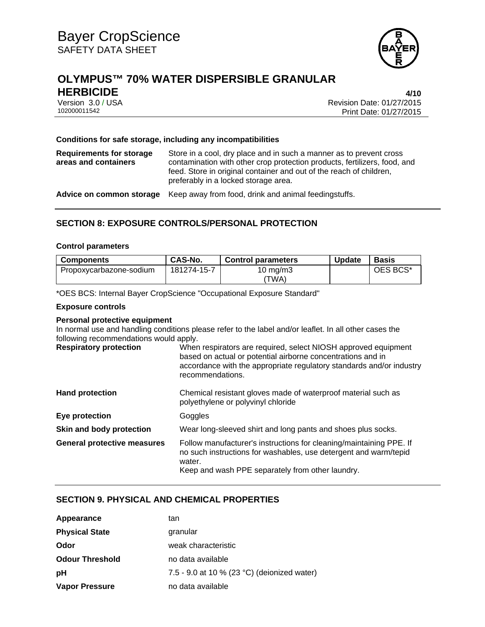

# **OLYMPUS™ 70% WATER DISPERSIBLE GRANULAR HERBICIDE 4/10**

Version 3.0 / USA Revision Date: 01/27/2015 Print Date: 01/27/2015

#### **Conditions for safe storage, including any incompatibilities**

| <b>Requirements for storage</b><br>areas and containers | Store in a cool, dry place and in such a manner as to prevent cross<br>contamination with other crop protection products, fertilizers, food, and<br>feed. Store in original container and out of the reach of children,<br>preferably in a locked storage area. |
|---------------------------------------------------------|-----------------------------------------------------------------------------------------------------------------------------------------------------------------------------------------------------------------------------------------------------------------|
|                                                         | Advice on common storage Keep away from food, drink and animal feedingstuffs.                                                                                                                                                                                   |

# **SECTION 8: EXPOSURE CONTROLS/PERSONAL PROTECTION**

#### **Control parameters**

| <b>Components</b>       | <b>CAS-No.</b> | <b>Control parameters</b> | <b>Update</b> | <b>Basis</b> |
|-------------------------|----------------|---------------------------|---------------|--------------|
| Propoxycarbazone-sodium | 181274-15-7    | 10 $mq/m3$                |               | OES BCS*     |
|                         |                | 'TWA)                     |               |              |

\*OES BCS: Internal Bayer CropScience "Occupational Exposure Standard"

#### **Exposure controls**

### **Personal protective equipment**

In normal use and handling conditions please refer to the label and/or leaflet. In all other cases the following recommendations would apply.

| <b>Respiratory protection</b>      | When respirators are required, select NIOSH approved equipment<br>based on actual or potential airborne concentrations and in<br>accordance with the appropriate regulatory standards and/or industry<br>recommendations. |
|------------------------------------|---------------------------------------------------------------------------------------------------------------------------------------------------------------------------------------------------------------------------|
| <b>Hand protection</b>             | Chemical resistant gloves made of waterproof material such as<br>polyethylene or polyvinyl chloride                                                                                                                       |
| Eye protection                     | Goggles                                                                                                                                                                                                                   |
| Skin and body protection           | Wear long-sleeved shirt and long pants and shoes plus socks.                                                                                                                                                              |
| <b>General protective measures</b> | Follow manufacturer's instructions for cleaning/maintaining PPE. If<br>no such instructions for washables, use detergent and warm/tepid<br>water.<br>Keep and wash PPE separately from other laundry.                     |

## **SECTION 9. PHYSICAL AND CHEMICAL PROPERTIES**

| Appearance             | tan                                         |
|------------------------|---------------------------------------------|
| <b>Physical State</b>  | granular                                    |
| Odor                   | weak characteristic                         |
| <b>Odour Threshold</b> | no data available                           |
| рH                     | 7.5 - 9.0 at 10 % (23 °C) (deionized water) |
| <b>Vapor Pressure</b>  | no data available                           |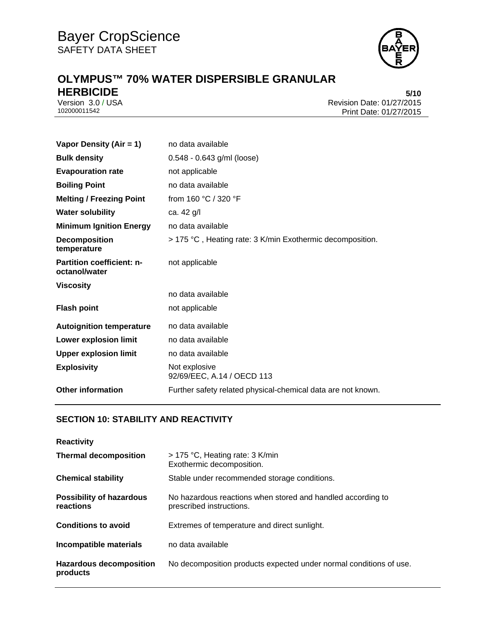

# **OLYMPUS™ 70% WATER DISPERSIBLE GRANULAR HERBICIDE** 5/10<br>Version 3.0 / USA 6/10<br>Revision Date: 01/27/2015

Version 3.0 / USA Revision Date: 01/27/2015 Print Date: 01/27/2015

| Vapor Density (Air = 1)                           | no data available                                            |  |
|---------------------------------------------------|--------------------------------------------------------------|--|
| <b>Bulk density</b>                               | 0.548 - 0.643 g/ml (loose)                                   |  |
| <b>Evapouration rate</b>                          | not applicable                                               |  |
| <b>Boiling Point</b>                              | no data available                                            |  |
| <b>Melting / Freezing Point</b>                   | from 160 °C / 320 °F                                         |  |
| <b>Water solubility</b>                           | ca. 42 g/l                                                   |  |
| <b>Minimum Ignition Energy</b>                    | no data available                                            |  |
| <b>Decomposition</b><br>temperature               | > 175 °C, Heating rate: 3 K/min Exothermic decomposition.    |  |
| <b>Partition coefficient: n-</b><br>octanol/water | not applicable                                               |  |
| <b>Viscosity</b>                                  |                                                              |  |
|                                                   | no data available                                            |  |
| <b>Flash point</b>                                | not applicable                                               |  |
| <b>Autoignition temperature</b>                   | no data available                                            |  |
| Lower explosion limit                             | no data available                                            |  |
| <b>Upper explosion limit</b>                      | no data available                                            |  |
| <b>Explosivity</b>                                | Not explosive<br>92/69/EEC, A.14 / OECD 113                  |  |
| <b>Other information</b>                          | Further safety related physical-chemical data are not known. |  |

# **SECTION 10: STABILITY AND REACTIVITY**

| <b>Reactivity</b>                            |                                                                                         |  |
|----------------------------------------------|-----------------------------------------------------------------------------------------|--|
| <b>Thermal decomposition</b>                 | $>$ 175 °C, Heating rate: 3 K/min<br>Exothermic decomposition.                          |  |
| <b>Chemical stability</b>                    | Stable under recommended storage conditions.                                            |  |
| <b>Possibility of hazardous</b><br>reactions | No hazardous reactions when stored and handled according to<br>prescribed instructions. |  |
| <b>Conditions to avoid</b>                   | Extremes of temperature and direct sunlight.                                            |  |
| Incompatible materials                       | no data available                                                                       |  |
| <b>Hazardous decomposition</b><br>products   | No decomposition products expected under normal conditions of use.                      |  |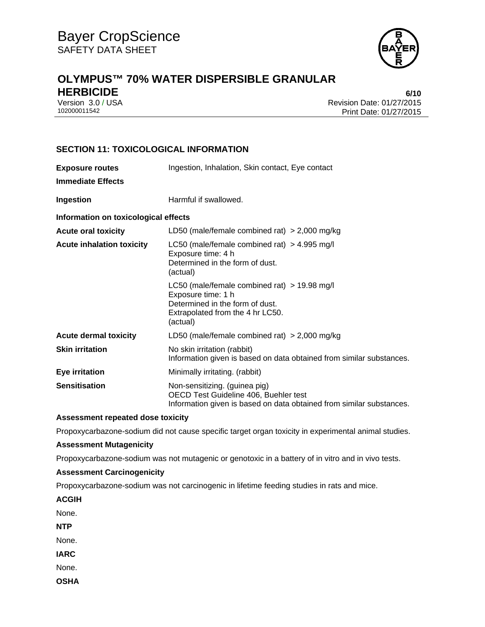

# **OLYMPUS™ 70% WATER DISPERSIBLE GRANULAR HERBICIDE 6/10**

Version 3.0 / USA Revision Date: 01/27/2015<br>102000011542 Print Date: 01/27/2015 Print Date: 01/27/2015

# **SECTION 11: TOXICOLOGICAL INFORMATION**

| <b>Exposure routes</b><br><b>Immediate Effects</b> | Ingestion, Inhalation, Skin contact, Eye contact                                                                                                        |  |
|----------------------------------------------------|---------------------------------------------------------------------------------------------------------------------------------------------------------|--|
| Ingestion                                          | Harmful if swallowed.                                                                                                                                   |  |
| Information on toxicological effects               |                                                                                                                                                         |  |
| <b>Acute oral toxicity</b>                         | LD50 (male/female combined rat) $> 2,000$ mg/kg                                                                                                         |  |
| <b>Acute inhalation toxicity</b>                   | LC50 (male/female combined rat) $>$ 4.995 mg/l<br>Exposure time: 4 h<br>Determined in the form of dust.<br>(actual)                                     |  |
|                                                    | LC50 (male/female combined rat) $>$ 19.98 mg/l<br>Exposure time: 1 h<br>Determined in the form of dust.<br>Extrapolated from the 4 hr LC50.<br>(actual) |  |
| <b>Acute dermal toxicity</b>                       | LD50 (male/female combined rat) $> 2,000$ mg/kg                                                                                                         |  |
| <b>Skin irritation</b>                             | No skin irritation (rabbit)<br>Information given is based on data obtained from similar substances.                                                     |  |
| <b>Eye irritation</b>                              | Minimally irritating. (rabbit)                                                                                                                          |  |
| <b>Sensitisation</b>                               | Non-sensitizing. (guinea pig)<br>OECD Test Guideline 406, Buehler test<br>Information given is based on data obtained from similar substances.          |  |

### **Assessment repeated dose toxicity**

Propoxycarbazone-sodium did not cause specific target organ toxicity in experimental animal studies.

#### **Assessment Mutagenicity**

Propoxycarbazone-sodium was not mutagenic or genotoxic in a battery of in vitro and in vivo tests.

## **Assessment Carcinogenicity**

Propoxycarbazone-sodium was not carcinogenic in lifetime feeding studies in rats and mice.

**ACGIH** 

None.

**NTP** 

None.

**IARC** 

None.

**OSHA**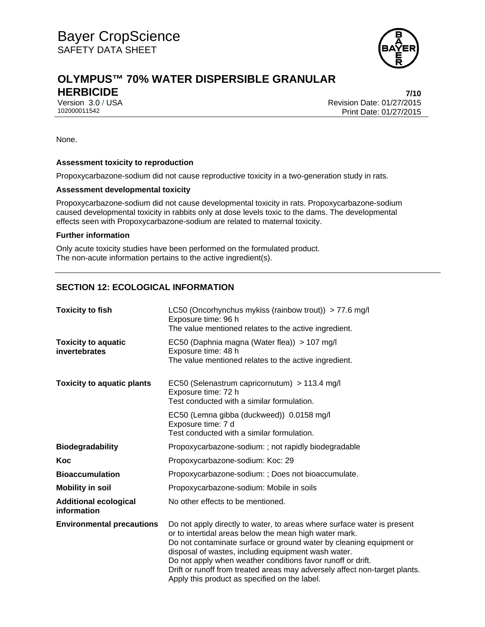

# **OLYMPUS™ 70% WATER DISPERSIBLE GRANULAR HERBICIDE 7/10**

Version 3.0 / USA Revision Date: 01/27/2015 Print Date: 01/27/2015

None.

#### **Assessment toxicity to reproduction**

Propoxycarbazone-sodium did not cause reproductive toxicity in a two-generation study in rats.

#### **Assessment developmental toxicity**

Propoxycarbazone-sodium did not cause developmental toxicity in rats. Propoxycarbazone-sodium caused developmental toxicity in rabbits only at dose levels toxic to the dams. The developmental effects seen with Propoxycarbazone-sodium are related to maternal toxicity.

#### **Further information**

Only acute toxicity studies have been performed on the formulated product. The non-acute information pertains to the active ingredient(s).

# **SECTION 12: ECOLOGICAL INFORMATION**

| <b>Toxicity to fish</b>                     | LC50 (Oncorhynchus mykiss (rainbow trout)) > 77.6 mg/l<br>Exposure time: 96 h<br>The value mentioned relates to the active ingredient.                                                                                                                                                                                                                                                                                                                        |  |
|---------------------------------------------|---------------------------------------------------------------------------------------------------------------------------------------------------------------------------------------------------------------------------------------------------------------------------------------------------------------------------------------------------------------------------------------------------------------------------------------------------------------|--|
| <b>Toxicity to aquatic</b><br>invertebrates | EC50 (Daphnia magna (Water flea)) > 107 mg/l<br>Exposure time: 48 h<br>The value mentioned relates to the active ingredient.                                                                                                                                                                                                                                                                                                                                  |  |
| <b>Toxicity to aquatic plants</b>           | EC50 (Selenastrum capricornutum) > 113.4 mg/l<br>Exposure time: 72 h<br>Test conducted with a similar formulation.                                                                                                                                                                                                                                                                                                                                            |  |
|                                             | EC50 (Lemna gibba (duckweed)) 0.0158 mg/l<br>Exposure time: 7 d<br>Test conducted with a similar formulation.                                                                                                                                                                                                                                                                                                                                                 |  |
| <b>Biodegradability</b>                     | Propoxycarbazone-sodium: ; not rapidly biodegradable                                                                                                                                                                                                                                                                                                                                                                                                          |  |
| Koc                                         | Propoxycarbazone-sodium: Koc: 29                                                                                                                                                                                                                                                                                                                                                                                                                              |  |
| <b>Bioaccumulation</b>                      | Propoxycarbazone-sodium: ; Does not bioaccumulate.                                                                                                                                                                                                                                                                                                                                                                                                            |  |
| <b>Mobility in soil</b>                     | Propoxycarbazone-sodium: Mobile in soils                                                                                                                                                                                                                                                                                                                                                                                                                      |  |
| <b>Additional ecological</b><br>information | No other effects to be mentioned.                                                                                                                                                                                                                                                                                                                                                                                                                             |  |
| <b>Environmental precautions</b>            | Do not apply directly to water, to areas where surface water is present<br>or to intertidal areas below the mean high water mark.<br>Do not contaminate surface or ground water by cleaning equipment or<br>disposal of wastes, including equipment wash water.<br>Do not apply when weather conditions favor runoff or drift.<br>Drift or runoff from treated areas may adversely affect non-target plants.<br>Apply this product as specified on the label. |  |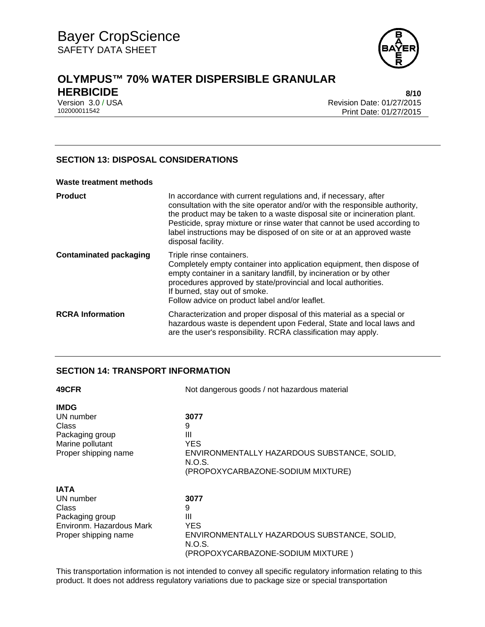

# **OLYMPUS™ 70% WATER DISPERSIBLE GRANULAR HERBICIDE 8/10**

Version 3.0 / USA Revision Date: 01/27/2015 Print Date: 01/27/2015

## **SECTION 13: DISPOSAL CONSIDERATIONS**

#### **Waste treatment methods**

| <b>Product</b>                | In accordance with current regulations and, if necessary, after<br>consultation with the site operator and/or with the responsible authority,<br>the product may be taken to a waste disposal site or incineration plant.<br>Pesticide, spray mixture or rinse water that cannot be used according to<br>label instructions may be disposed of on site or at an approved waste<br>disposal facility. |
|-------------------------------|------------------------------------------------------------------------------------------------------------------------------------------------------------------------------------------------------------------------------------------------------------------------------------------------------------------------------------------------------------------------------------------------------|
| <b>Contaminated packaging</b> | Triple rinse containers.<br>Completely empty container into application equipment, then dispose of<br>empty container in a sanitary landfill, by incineration or by other<br>procedures approved by state/provincial and local authorities.<br>If burned, stay out of smoke.<br>Follow advice on product label and/or leaflet.                                                                       |
| <b>RCRA Information</b>       | Characterization and proper disposal of this material as a special or<br>hazardous waste is dependent upon Federal, State and local laws and<br>are the user's responsibility. RCRA classification may apply.                                                                                                                                                                                        |

## **SECTION 14: TRANSPORT INFORMATION**

| 49CFR                    | Not dangerous goods / not hazardous material |  |
|--------------------------|----------------------------------------------|--|
| <b>IMDG</b>              |                                              |  |
| UN number                | 3077                                         |  |
| Class                    | 9                                            |  |
| Packaging group          | Ш                                            |  |
| Marine pollutant         | YES.                                         |  |
| Proper shipping name     | ENVIRONMENTALLY HAZARDOUS SUBSTANCE, SOLID,  |  |
|                          | N.O.S.                                       |  |
|                          | (PROPOXYCARBAZONE-SODIUM MIXTURE)            |  |
| <b>IATA</b>              |                                              |  |
| UN number                | 3077                                         |  |
| Class                    | 9                                            |  |
| Packaging group          | Ш                                            |  |
| Environm. Hazardous Mark | <b>YES</b>                                   |  |
| Proper shipping name     | ENVIRONMENTALLY HAZARDOUS SUBSTANCE, SOLID,  |  |
|                          | N.O.S.                                       |  |
|                          | (PROPOXYCARBAZONE-SODIUM MIXTURE)            |  |

This transportation information is not intended to convey all specific regulatory information relating to this product. It does not address regulatory variations due to package size or special transportation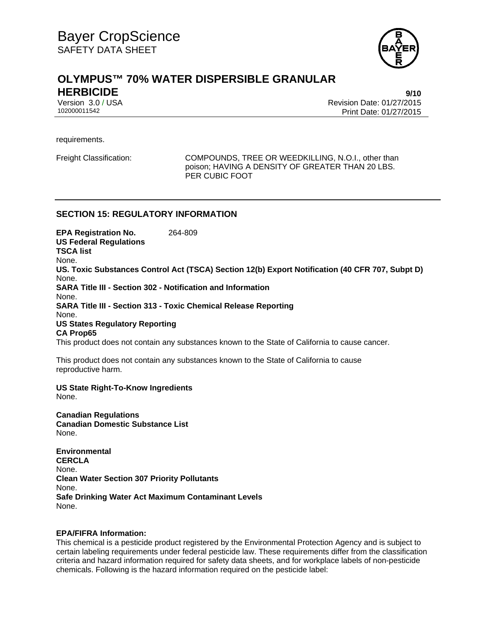

# **OLYMPUS™ 70% WATER DISPERSIBLE GRANULAR HERBICIDE 9/10**

Version 3.0 / USA Revision Date: 01/27/2015 102000011542 Print Date: 01/27/2015

requirements.

Freight Classification: COMPOUNDS, TREE OR WEEDKILLING, N.O.I., other than poison; HAVING A DENSITY OF GREATER THAN 20 LBS. PER CUBIC FOOT

## **SECTION 15: REGULATORY INFORMATION**

**EPA Registration No.** 264-809 **US Federal Regulations TSCA list** None. **US. Toxic Substances Control Act (TSCA) Section 12(b) Export Notification (40 CFR 707, Subpt D)** None. **SARA Title III - Section 302 - Notification and Information** None. **SARA Title III - Section 313 - Toxic Chemical Release Reporting** None. **US States Regulatory Reporting CA Prop65**

This product does not contain any substances known to the State of California to cause cancer.

This product does not contain any substances known to the State of California to cause reproductive harm.

**US State Right-To-Know Ingredients** None.

**Canadian Regulations Canadian Domestic Substance List**  None.

**Environmental CERCLA**  None. **Clean Water Section 307 Priority Pollutants**  None. **Safe Drinking Water Act Maximum Contaminant Levels**  None.

#### **EPA/FIFRA Information:**

This chemical is a pesticide product registered by the Environmental Protection Agency and is subject to certain labeling requirements under federal pesticide law. These requirements differ from the classification criteria and hazard information required for safety data sheets, and for workplace labels of non-pesticide chemicals. Following is the hazard information required on the pesticide label: